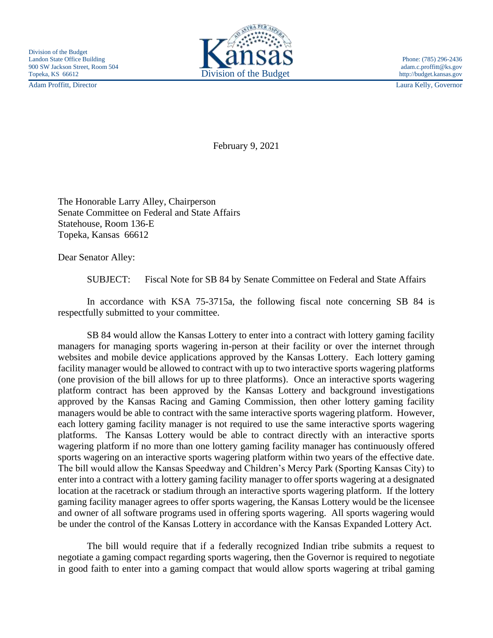Adam Proffitt, Director Laura Kelly, Governor



February 9, 2021

The Honorable Larry Alley, Chairperson Senate Committee on Federal and State Affairs Statehouse, Room 136-E Topeka, Kansas 66612

Dear Senator Alley:

SUBJECT: Fiscal Note for SB 84 by Senate Committee on Federal and State Affairs

In accordance with KSA 75-3715a, the following fiscal note concerning SB 84 is respectfully submitted to your committee.

SB 84 would allow the Kansas Lottery to enter into a contract with lottery gaming facility managers for managing sports wagering in-person at their facility or over the internet through websites and mobile device applications approved by the Kansas Lottery. Each lottery gaming facility manager would be allowed to contract with up to two interactive sports wagering platforms (one provision of the bill allows for up to three platforms). Once an interactive sports wagering platform contract has been approved by the Kansas Lottery and background investigations approved by the Kansas Racing and Gaming Commission, then other lottery gaming facility managers would be able to contract with the same interactive sports wagering platform. However, each lottery gaming facility manager is not required to use the same interactive sports wagering platforms. The Kansas Lottery would be able to contract directly with an interactive sports wagering platform if no more than one lottery gaming facility manager has continuously offered sports wagering on an interactive sports wagering platform within two years of the effective date. The bill would allow the Kansas Speedway and Children's Mercy Park (Sporting Kansas City) to enter into a contract with a lottery gaming facility manager to offer sports wagering at a designated location at the racetrack or stadium through an interactive sports wagering platform. If the lottery gaming facility manager agrees to offer sports wagering, the Kansas Lottery would be the licensee and owner of all software programs used in offering sports wagering. All sports wagering would be under the control of the Kansas Lottery in accordance with the Kansas Expanded Lottery Act.

The bill would require that if a federally recognized Indian tribe submits a request to negotiate a gaming compact regarding sports wagering, then the Governor is required to negotiate in good faith to enter into a gaming compact that would allow sports wagering at tribal gaming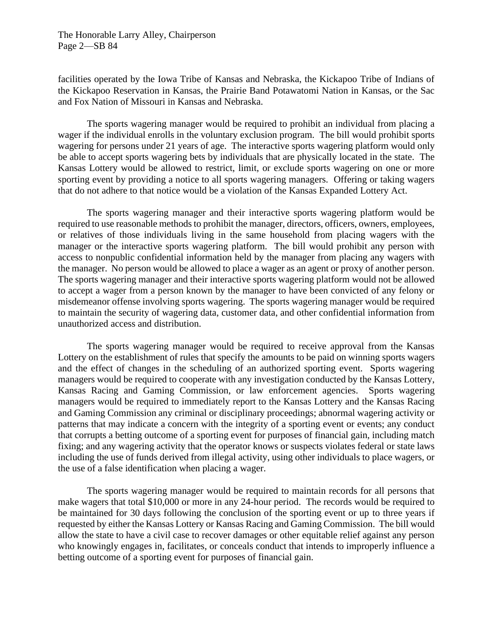The Honorable Larry Alley, Chairperson Page 2—SB 84

facilities operated by the Iowa Tribe of Kansas and Nebraska, the Kickapoo Tribe of Indians of the Kickapoo Reservation in Kansas, the Prairie Band Potawatomi Nation in Kansas, or the Sac and Fox Nation of Missouri in Kansas and Nebraska.

The sports wagering manager would be required to prohibit an individual from placing a wager if the individual enrolls in the voluntary exclusion program. The bill would prohibit sports wagering for persons under 21 years of age. The interactive sports wagering platform would only be able to accept sports wagering bets by individuals that are physically located in the state. The Kansas Lottery would be allowed to restrict, limit, or exclude sports wagering on one or more sporting event by providing a notice to all sports wagering managers. Offering or taking wagers that do not adhere to that notice would be a violation of the Kansas Expanded Lottery Act.

The sports wagering manager and their interactive sports wagering platform would be required to use reasonable methods to prohibit the manager, directors, officers, owners, employees, or relatives of those individuals living in the same household from placing wagers with the manager or the interactive sports wagering platform. The bill would prohibit any person with access to nonpublic confidential information held by the manager from placing any wagers with the manager. No person would be allowed to place a wager as an agent or proxy of another person. The sports wagering manager and their interactive sports wagering platform would not be allowed to accept a wager from a person known by the manager to have been convicted of any felony or misdemeanor offense involving sports wagering. The sports wagering manager would be required to maintain the security of wagering data, customer data, and other confidential information from unauthorized access and distribution.

The sports wagering manager would be required to receive approval from the Kansas Lottery on the establishment of rules that specify the amounts to be paid on winning sports wagers and the effect of changes in the scheduling of an authorized sporting event. Sports wagering managers would be required to cooperate with any investigation conducted by the Kansas Lottery, Kansas Racing and Gaming Commission, or law enforcement agencies. Sports wagering managers would be required to immediately report to the Kansas Lottery and the Kansas Racing and Gaming Commission any criminal or disciplinary proceedings; abnormal wagering activity or patterns that may indicate a concern with the integrity of a sporting event or events; any conduct that corrupts a betting outcome of a sporting event for purposes of financial gain, including match fixing; and any wagering activity that the operator knows or suspects violates federal or state laws including the use of funds derived from illegal activity, using other individuals to place wagers, or the use of a false identification when placing a wager.

The sports wagering manager would be required to maintain records for all persons that make wagers that total \$10,000 or more in any 24-hour period. The records would be required to be maintained for 30 days following the conclusion of the sporting event or up to three years if requested by either the Kansas Lottery or Kansas Racing and Gaming Commission. The bill would allow the state to have a civil case to recover damages or other equitable relief against any person who knowingly engages in, facilitates, or conceals conduct that intends to improperly influence a betting outcome of a sporting event for purposes of financial gain.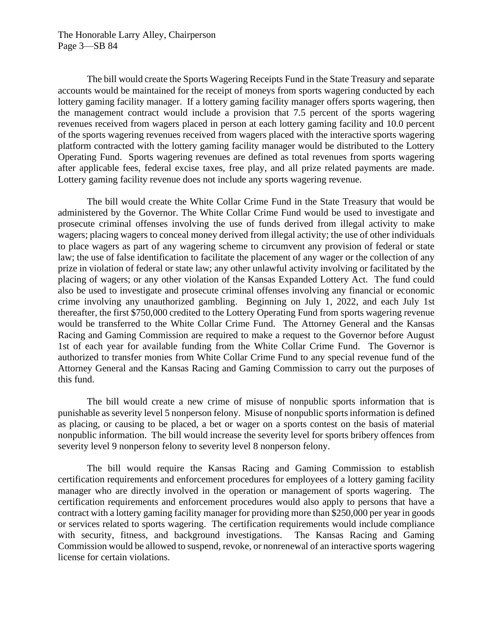The Honorable Larry Alley, Chairperson Page 3—SB 84

The bill would create the Sports Wagering Receipts Fund in the State Treasury and separate accounts would be maintained for the receipt of moneys from sports wagering conducted by each lottery gaming facility manager. If a lottery gaming facility manager offers sports wagering, then the management contract would include a provision that 7.5 percent of the sports wagering revenues received from wagers placed in person at each lottery gaming facility and 10.0 percent of the sports wagering revenues received from wagers placed with the interactive sports wagering platform contracted with the lottery gaming facility manager would be distributed to the Lottery Operating Fund. Sports wagering revenues are defined as total revenues from sports wagering after applicable fees, federal excise taxes, free play, and all prize related payments are made. Lottery gaming facility revenue does not include any sports wagering revenue.

The bill would create the White Collar Crime Fund in the State Treasury that would be administered by the Governor. The White Collar Crime Fund would be used to investigate and prosecute criminal offenses involving the use of funds derived from illegal activity to make wagers; placing wagers to conceal money derived from illegal activity; the use of other individuals to place wagers as part of any wagering scheme to circumvent any provision of federal or state law; the use of false identification to facilitate the placement of any wager or the collection of any prize in violation of federal or state law; any other unlawful activity involving or facilitated by the placing of wagers; or any other violation of the Kansas Expanded Lottery Act. The fund could also be used to investigate and prosecute criminal offenses involving any financial or economic crime involving any unauthorized gambling. Beginning on July 1, 2022, and each July 1st thereafter, the first \$750,000 credited to the Lottery Operating Fund from sports wagering revenue would be transferred to the White Collar Crime Fund. The Attorney General and the Kansas Racing and Gaming Commission are required to make a request to the Governor before August 1st of each year for available funding from the White Collar Crime Fund. The Governor is authorized to transfer monies from White Collar Crime Fund to any special revenue fund of the Attorney General and the Kansas Racing and Gaming Commission to carry out the purposes of this fund.

The bill would create a new crime of misuse of nonpublic sports information that is punishable as severity level 5 nonperson felony. Misuse of nonpublic sports information is defined as placing, or causing to be placed, a bet or wager on a sports contest on the basis of material nonpublic information. The bill would increase the severity level for sports bribery offences from severity level 9 nonperson felony to severity level 8 nonperson felony.

The bill would require the Kansas Racing and Gaming Commission to establish certification requirements and enforcement procedures for employees of a lottery gaming facility manager who are directly involved in the operation or management of sports wagering. The certification requirements and enforcement procedures would also apply to persons that have a contract with a lottery gaming facility manager for providing more than \$250,000 per year in goods or services related to sports wagering. The certification requirements would include compliance with security, fitness, and background investigations. The Kansas Racing and Gaming Commission would be allowed to suspend, revoke, or nonrenewal of an interactive sports wagering license for certain violations.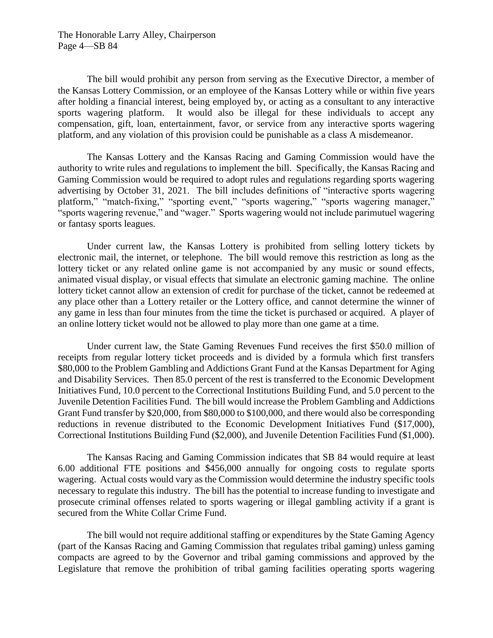The bill would prohibit any person from serving as the Executive Director, a member of the Kansas Lottery Commission, or an employee of the Kansas Lottery while or within five years after holding a financial interest, being employed by, or acting as a consultant to any interactive sports wagering platform. It would also be illegal for these individuals to accept any compensation, gift, loan, entertainment, favor, or service from any interactive sports wagering platform, and any violation of this provision could be punishable as a class A misdemeanor.

The Kansas Lottery and the Kansas Racing and Gaming Commission would have the authority to write rules and regulations to implement the bill. Specifically, the Kansas Racing and Gaming Commission would be required to adopt rules and regulations regarding sports wagering advertising by October 31, 2021. The bill includes definitions of "interactive sports wagering platform," "match-fixing," "sporting event," "sports wagering," "sports wagering manager," "sports wagering revenue," and "wager." Sports wagering would not include parimutuel wagering or fantasy sports leagues.

Under current law, the Kansas Lottery is prohibited from selling lottery tickets by electronic mail, the internet, or telephone. The bill would remove this restriction as long as the lottery ticket or any related online game is not accompanied by any music or sound effects, animated visual display, or visual effects that simulate an electronic gaming machine. The online lottery ticket cannot allow an extension of credit for purchase of the ticket, cannot be redeemed at any place other than a Lottery retailer or the Lottery office, and cannot determine the winner of any game in less than four minutes from the time the ticket is purchased or acquired. A player of an online lottery ticket would not be allowed to play more than one game at a time.

Under current law, the State Gaming Revenues Fund receives the first \$50.0 million of receipts from regular lottery ticket proceeds and is divided by a formula which first transfers \$80,000 to the Problem Gambling and Addictions Grant Fund at the Kansas Department for Aging and Disability Services. Then 85.0 percent of the rest is transferred to the Economic Development Initiatives Fund, 10.0 percent to the Correctional Institutions Building Fund, and 5.0 percent to the Juvenile Detention Facilities Fund. The bill would increase the Problem Gambling and Addictions Grant Fund transfer by \$20,000, from \$80,000 to \$100,000, and there would also be corresponding reductions in revenue distributed to the Economic Development Initiatives Fund (\$17,000), Correctional Institutions Building Fund (\$2,000), and Juvenile Detention Facilities Fund (\$1,000).

The Kansas Racing and Gaming Commission indicates that SB 84 would require at least 6.00 additional FTE positions and \$456,000 annually for ongoing costs to regulate sports wagering. Actual costs would vary as the Commission would determine the industry specific tools necessary to regulate this industry. The bill has the potential to increase funding to investigate and prosecute criminal offenses related to sports wagering or illegal gambling activity if a grant is secured from the White Collar Crime Fund.

The bill would not require additional staffing or expenditures by the State Gaming Agency (part of the Kansas Racing and Gaming Commission that regulates tribal gaming) unless gaming compacts are agreed to by the Governor and tribal gaming commissions and approved by the Legislature that remove the prohibition of tribal gaming facilities operating sports wagering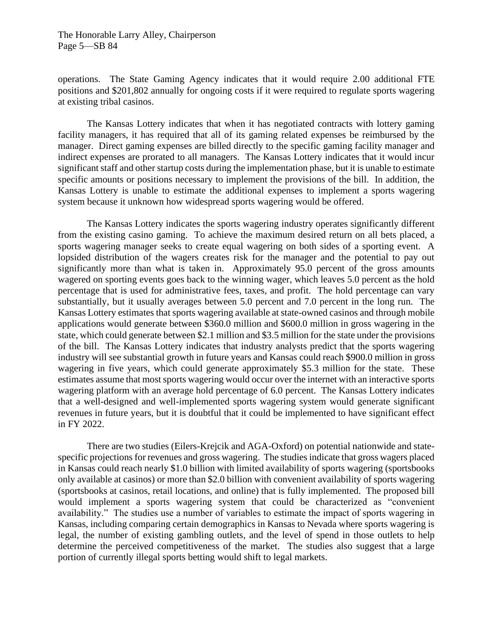operations. The State Gaming Agency indicates that it would require 2.00 additional FTE positions and \$201,802 annually for ongoing costs if it were required to regulate sports wagering at existing tribal casinos.

The Kansas Lottery indicates that when it has negotiated contracts with lottery gaming facility managers, it has required that all of its gaming related expenses be reimbursed by the manager. Direct gaming expenses are billed directly to the specific gaming facility manager and indirect expenses are prorated to all managers. The Kansas Lottery indicates that it would incur significant staff and other startup costs during the implementation phase, but it is unable to estimate specific amounts or positions necessary to implement the provisions of the bill. In addition, the Kansas Lottery is unable to estimate the additional expenses to implement a sports wagering system because it unknown how widespread sports wagering would be offered.

The Kansas Lottery indicates the sports wagering industry operates significantly different from the existing casino gaming. To achieve the maximum desired return on all bets placed, a sports wagering manager seeks to create equal wagering on both sides of a sporting event. A lopsided distribution of the wagers creates risk for the manager and the potential to pay out significantly more than what is taken in. Approximately 95.0 percent of the gross amounts wagered on sporting events goes back to the winning wager, which leaves 5.0 percent as the hold percentage that is used for administrative fees, taxes, and profit. The hold percentage can vary substantially, but it usually averages between 5.0 percent and 7.0 percent in the long run. The Kansas Lottery estimates that sports wagering available at state-owned casinos and through mobile applications would generate between \$360.0 million and \$600.0 million in gross wagering in the state, which could generate between \$2.1 million and \$3.5 million for the state under the provisions of the bill. The Kansas Lottery indicates that industry analysts predict that the sports wagering industry will see substantial growth in future years and Kansas could reach \$900.0 million in gross wagering in five years, which could generate approximately \$5.3 million for the state. These estimates assume that most sports wagering would occur over the internet with an interactive sports wagering platform with an average hold percentage of 6.0 percent. The Kansas Lottery indicates that a well-designed and well-implemented sports wagering system would generate significant revenues in future years, but it is doubtful that it could be implemented to have significant effect in FY 2022.

There are two studies (Eilers-Krejcik and AGA-Oxford) on potential nationwide and statespecific projections for revenues and gross wagering. The studies indicate that gross wagers placed in Kansas could reach nearly \$1.0 billion with limited availability of sports wagering (sportsbooks only available at casinos) or more than \$2.0 billion with convenient availability of sports wagering (sportsbooks at casinos, retail locations, and online) that is fully implemented. The proposed bill would implement a sports wagering system that could be characterized as "convenient availability." The studies use a number of variables to estimate the impact of sports wagering in Kansas, including comparing certain demographics in Kansas to Nevada where sports wagering is legal, the number of existing gambling outlets, and the level of spend in those outlets to help determine the perceived competitiveness of the market. The studies also suggest that a large portion of currently illegal sports betting would shift to legal markets.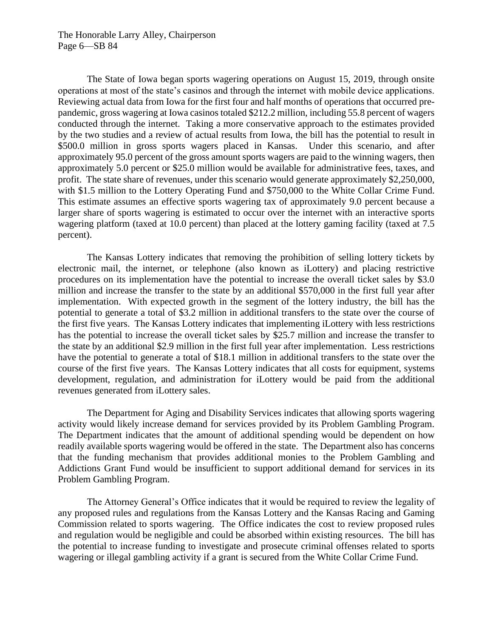The Honorable Larry Alley, Chairperson Page 6—SB 84

The State of Iowa began sports wagering operations on August 15, 2019, through onsite operations at most of the state's casinos and through the internet with mobile device applications. Reviewing actual data from Iowa for the first four and half months of operations that occurred prepandemic, gross wagering at Iowa casinos totaled \$212.2 million, including 55.8 percent of wagers conducted through the internet. Taking a more conservative approach to the estimates provided by the two studies and a review of actual results from Iowa, the bill has the potential to result in \$500.0 million in gross sports wagers placed in Kansas. Under this scenario, and after approximately 95.0 percent of the gross amount sports wagers are paid to the winning wagers, then approximately 5.0 percent or \$25.0 million would be available for administrative fees, taxes, and profit. The state share of revenues, under this scenario would generate approximately \$2,250,000, with \$1.5 million to the Lottery Operating Fund and \$750,000 to the White Collar Crime Fund. This estimate assumes an effective sports wagering tax of approximately 9.0 percent because a larger share of sports wagering is estimated to occur over the internet with an interactive sports wagering platform (taxed at 10.0 percent) than placed at the lottery gaming facility (taxed at 7.5 percent).

The Kansas Lottery indicates that removing the prohibition of selling lottery tickets by electronic mail, the internet, or telephone (also known as iLottery) and placing restrictive procedures on its implementation have the potential to increase the overall ticket sales by \$3.0 million and increase the transfer to the state by an additional \$570,000 in the first full year after implementation. With expected growth in the segment of the lottery industry, the bill has the potential to generate a total of \$3.2 million in additional transfers to the state over the course of the first five years. The Kansas Lottery indicates that implementing iLottery with less restrictions has the potential to increase the overall ticket sales by \$25.7 million and increase the transfer to the state by an additional \$2.9 million in the first full year after implementation. Less restrictions have the potential to generate a total of \$18.1 million in additional transfers to the state over the course of the first five years. The Kansas Lottery indicates that all costs for equipment, systems development, regulation, and administration for iLottery would be paid from the additional revenues generated from iLottery sales.

The Department for Aging and Disability Services indicates that allowing sports wagering activity would likely increase demand for services provided by its Problem Gambling Program. The Department indicates that the amount of additional spending would be dependent on how readily available sports wagering would be offered in the state. The Department also has concerns that the funding mechanism that provides additional monies to the Problem Gambling and Addictions Grant Fund would be insufficient to support additional demand for services in its Problem Gambling Program.

The Attorney General's Office indicates that it would be required to review the legality of any proposed rules and regulations from the Kansas Lottery and the Kansas Racing and Gaming Commission related to sports wagering. The Office indicates the cost to review proposed rules and regulation would be negligible and could be absorbed within existing resources. The bill has the potential to increase funding to investigate and prosecute criminal offenses related to sports wagering or illegal gambling activity if a grant is secured from the White Collar Crime Fund.